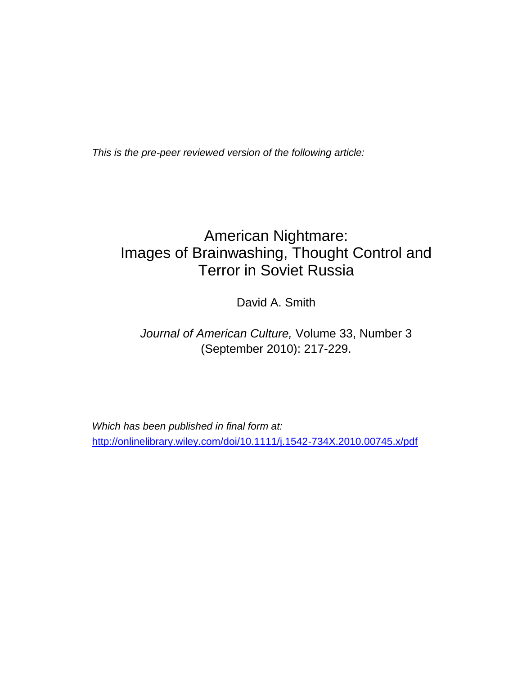*This is the pre-peer reviewed version of the following article:*

# American Nightmare: Images of Brainwashing, Thought Control and Terror in Soviet Russia

David A. Smith

# *Journal of American Culture,* Volume 33, Number 3 (September 2010): 217-229.

*Which has been published in final form at:* <http://onlinelibrary.wiley.com/doi/10.1111/j.1542-734X.2010.00745.x/pdf>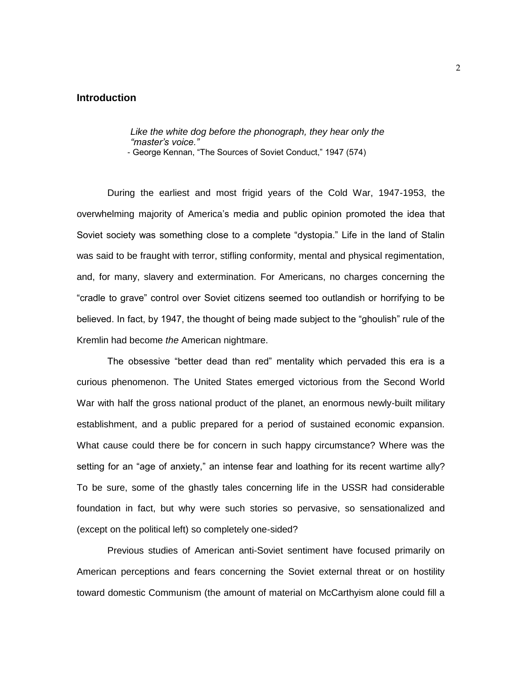# **Introduction**

*Like the white dog before the phonograph, they hear only the "master's voice."*

- George Kennan, "The Sources of Soviet Conduct," 1947 (574)

During the earliest and most frigid years of the Cold War, 1947-1953, the overwhelming majority of America"s media and public opinion promoted the idea that Soviet society was something close to a complete "dystopia." Life in the land of Stalin was said to be fraught with terror, stifling conformity, mental and physical regimentation, and, for many, slavery and extermination. For Americans, no charges concerning the "cradle to grave" control over Soviet citizens seemed too outlandish or horrifying to be believed. In fact, by 1947, the thought of being made subject to the "ghoulish" rule of the Kremlin had become *the* American nightmare.

The obsessive "better dead than red" mentality which pervaded this era is a curious phenomenon. The United States emerged victorious from the Second World War with half the gross national product of the planet, an enormous newly-built military establishment, and a public prepared for a period of sustained economic expansion. What cause could there be for concern in such happy circumstance? Where was the setting for an "age of anxiety," an intense fear and loathing for its recent wartime ally? To be sure, some of the ghastly tales concerning life in the USSR had considerable foundation in fact, but why were such stories so pervasive, so sensationalized and (except on the political left) so completely one-sided?

Previous studies of American anti-Soviet sentiment have focused primarily on American perceptions and fears concerning the Soviet external threat or on hostility toward domestic Communism (the amount of material on McCarthyism alone could fill a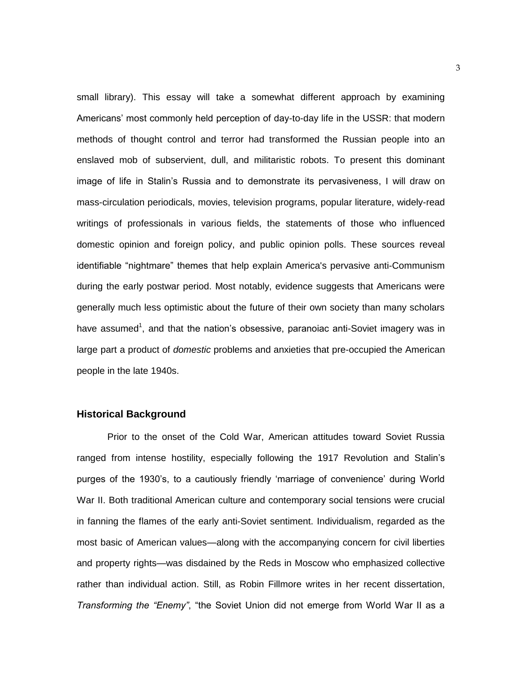small library). This essay will take a somewhat different approach by examining Americans" most commonly held perception of day-to-day life in the USSR: that modern methods of thought control and terror had transformed the Russian people into an enslaved mob of subservient, dull, and militaristic robots. To present this dominant image of life in Stalin"s Russia and to demonstrate its pervasiveness, I will draw on mass-circulation periodicals, movies, television programs, popular literature, widely-read writings of professionals in various fields, the statements of those who influenced domestic opinion and foreign policy, and public opinion polls. These sources reveal identifiable "nightmare" themes that help explain America's pervasive anti-Communism during the early postwar period. Most notably, evidence suggests that Americans were generally much less optimistic about the future of their own society than many scholars have assumed<sup>1</sup>, and that the nation's obsessive, paranoiac anti-Soviet imagery was in large part a product of *domestic* problems and anxieties that pre-occupied the American people in the late 1940s.

#### **Historical Background**

Prior to the onset of the Cold War, American attitudes toward Soviet Russia ranged from intense hostility, especially following the 1917 Revolution and Stalin"s purges of the 1930"s, to a cautiously friendly "marriage of convenience" during World War II. Both traditional American culture and contemporary social tensions were crucial in fanning the flames of the early anti-Soviet sentiment. Individualism, regarded as the most basic of American values—along with the accompanying concern for civil liberties and property rights—was disdained by the Reds in Moscow who emphasized collective rather than individual action. Still, as Robin Fillmore writes in her recent dissertation, *Transforming the "Enemy"*, "the Soviet Union did not emerge from World War II as a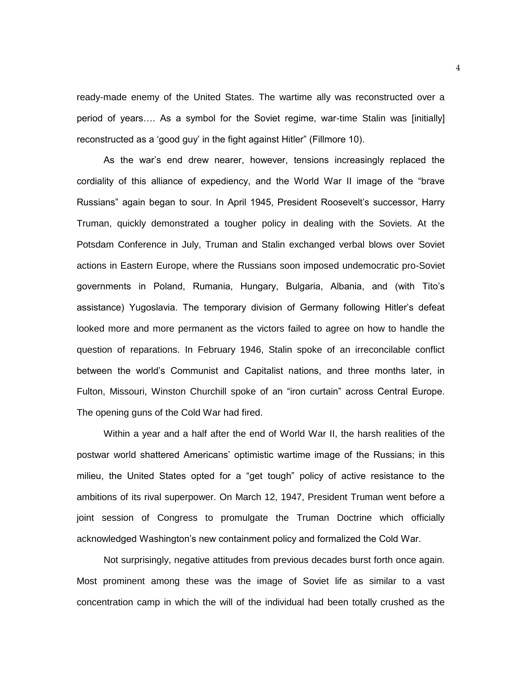ready-made enemy of the United States. The wartime ally was reconstructed over a period of years…. As a symbol for the Soviet regime, war-time Stalin was [initially] reconstructed as a "good guy" in the fight against Hitler" (Fillmore 10).

As the war"s end drew nearer, however, tensions increasingly replaced the cordiality of this alliance of expediency, and the World War II image of the "brave Russians" again began to sour. In April 1945, President Roosevelt"s successor, Harry Truman, quickly demonstrated a tougher policy in dealing with the Soviets. At the Potsdam Conference in July, Truman and Stalin exchanged verbal blows over Soviet actions in Eastern Europe, where the Russians soon imposed undemocratic pro-Soviet governments in Poland, Rumania, Hungary, Bulgaria, Albania, and (with Tito"s assistance) Yugoslavia. The temporary division of Germany following Hitler"s defeat looked more and more permanent as the victors failed to agree on how to handle the question of reparations. In February 1946, Stalin spoke of an irreconcilable conflict between the world"s Communist and Capitalist nations, and three months later, in Fulton, Missouri, Winston Churchill spoke of an "iron curtain" across Central Europe. The opening guns of the Cold War had fired.

Within a year and a half after the end of World War II, the harsh realities of the postwar world shattered Americans" optimistic wartime image of the Russians; in this milieu, the United States opted for a "get tough" policy of active resistance to the ambitions of its rival superpower. On March 12, 1947, President Truman went before a joint session of Congress to promulgate the Truman Doctrine which officially acknowledged Washington"s new containment policy and formalized the Cold War.

Not surprisingly, negative attitudes from previous decades burst forth once again. Most prominent among these was the image of Soviet life as similar to a vast concentration camp in which the will of the individual had been totally crushed as the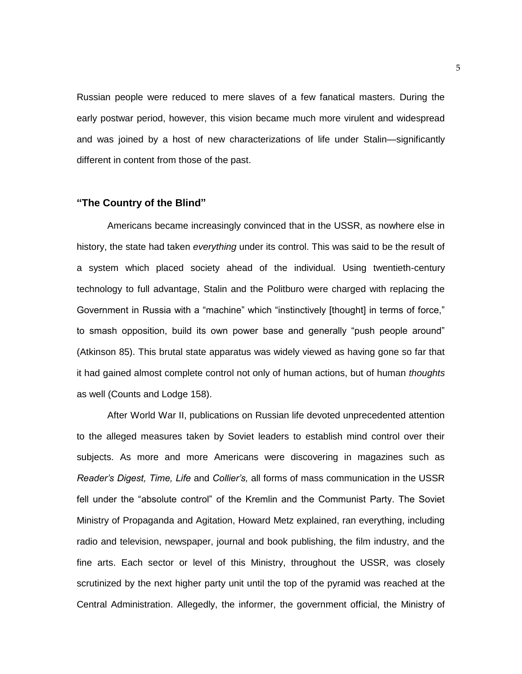Russian people were reduced to mere slaves of a few fanatical masters. During the early postwar period, however, this vision became much more virulent and widespread and was joined by a host of new characterizations of life under Stalin—significantly different in content from those of the past.

#### **"The Country of the Blind"**

Americans became increasingly convinced that in the USSR, as nowhere else in history, the state had taken *everything* under its control. This was said to be the result of a system which placed society ahead of the individual. Using twentieth-century technology to full advantage, Stalin and the Politburo were charged with replacing the Government in Russia with a "machine" which "instinctively [thought] in terms of force," to smash opposition, build its own power base and generally "push people around" (Atkinson 85). This brutal state apparatus was widely viewed as having gone so far that it had gained almost complete control not only of human actions, but of human *thoughts*  as well (Counts and Lodge 158).

After World War II, publications on Russian life devoted unprecedented attention to the alleged measures taken by Soviet leaders to establish mind control over their subjects. As more and more Americans were discovering in magazines such as *Reader's Digest, Time, Life* and *Collier's,* all forms of mass communication in the USSR fell under the "absolute control" of the Kremlin and the Communist Party. The Soviet Ministry of Propaganda and Agitation, Howard Metz explained, ran everything, including radio and television, newspaper, journal and book publishing, the film industry, and the fine arts. Each sector or level of this Ministry, throughout the USSR, was closely scrutinized by the next higher party unit until the top of the pyramid was reached at the Central Administration. Allegedly, the informer, the government official, the Ministry of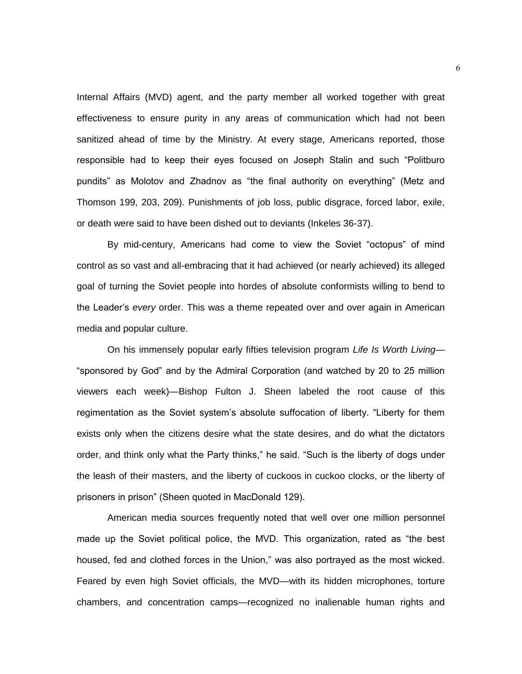Internal Affairs (MVD) agent, and the party member all worked together with great effectiveness to ensure purity in any areas of communication which had not been sanitized ahead of time by the Ministry. At every stage, Americans reported, those responsible had to keep their eyes focused on Joseph Stalin and such "Politburo pundits" as Molotov and Zhadnov as "the final authority on everything" (Metz and Thomson 199, 203, 209). Punishments of job loss, public disgrace, forced labor, exile, or death were said to have been dished out to deviants (Inkeles 36-37).

By mid-century, Americans had come to view the Soviet "octopus" of mind control as so vast and all-embracing that it had achieved (or nearly achieved) its alleged goal of turning the Soviet people into hordes of absolute conformists willing to bend to the Leader"s *every* order. This was a theme repeated over and over again in American media and popular culture.

On his immensely popular early fifties television program *Life Is Worth Living*— "sponsored by God" and by the Admiral Corporation (and watched by 20 to 25 million viewers each week)—Bishop Fulton J. Sheen labeled the root cause of this regimentation as the Soviet system"s absolute suffocation of liberty. "Liberty for them exists only when the citizens desire what the state desires, and do what the dictators order, and think only what the Party thinks," he said. "Such is the liberty of dogs under the leash of their masters, and the liberty of cuckoos in cuckoo clocks, or the liberty of prisoners in prison" (Sheen quoted in MacDonald 129).

American media sources frequently noted that well over one million personnel made up the Soviet political police, the MVD. This organization, rated as "the best housed, fed and clothed forces in the Union," was also portrayed as the most wicked. Feared by even high Soviet officials, the MVD—with its hidden microphones, torture chambers, and concentration camps—recognized no inalienable human rights and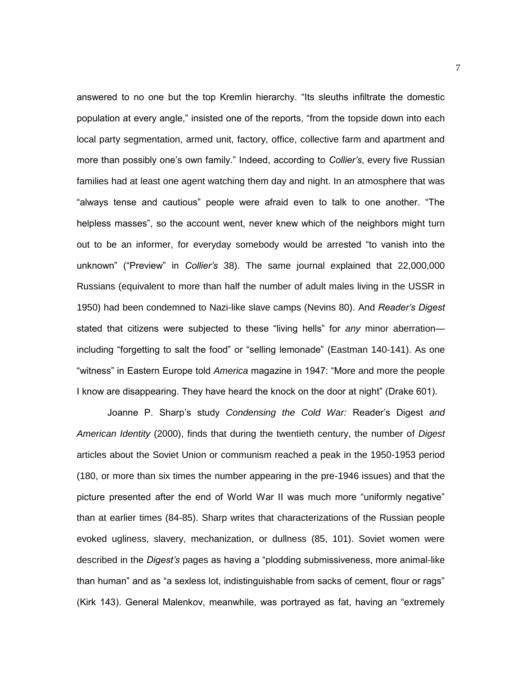answered to no one but the top Kremlin hierarchy. "Its sleuths infiltrate the domestic population at every angle," insisted one of the reports, "from the topside down into each local party segmentation, armed unit, factory, office, collective farm and apartment and more than possibly one"s own family." Indeed, according to *Collier's*, every five Russian families had at least one agent watching them day and night. In an atmosphere that was "always tense and cautious" people were afraid even to talk to one another. "The helpless masses", so the account went, never knew which of the neighbors might turn out to be an informer, for everyday somebody would be arrested "to vanish into the unknown" ("Preview" in *Collier's* 38). The same journal explained that 22,000,000 Russians (equivalent to more than half the number of adult males living in the USSR in 1950) had been condemned to Nazi-like slave camps (Nevins 80). And *Reader's Digest*  stated that citizens were subjected to these "living hells" for *any* minor aberration including "forgetting to salt the food" or "selling lemonade" (Eastman 140-141). As one "witness" in Eastern Europe told *America* magazine in 1947: "More and more the people I know are disappearing. They have heard the knock on the door at night" (Drake 601).

Joanne P. Sharp"s study *Condensing the Cold War:* Reader"s Digest *and American Identity* (2000), finds that during the twentieth century, the number of *Digest*  articles about the Soviet Union or communism reached a peak in the 1950-1953 period (180, or more than six times the number appearing in the pre-1946 issues) and that the picture presented after the end of World War II was much more "uniformly negative" than at earlier times (84-85). Sharp writes that characterizations of the Russian people evoked ugliness, slavery, mechanization, or dullness (85, 101). Soviet women were described in the *Digest's* pages as having a "plodding submissiveness, more animal-like than human" and as "a sexless lot, indistinguishable from sacks of cement, flour or rags" (Kirk 143). General Malenkov, meanwhile, was portrayed as fat, having an "extremely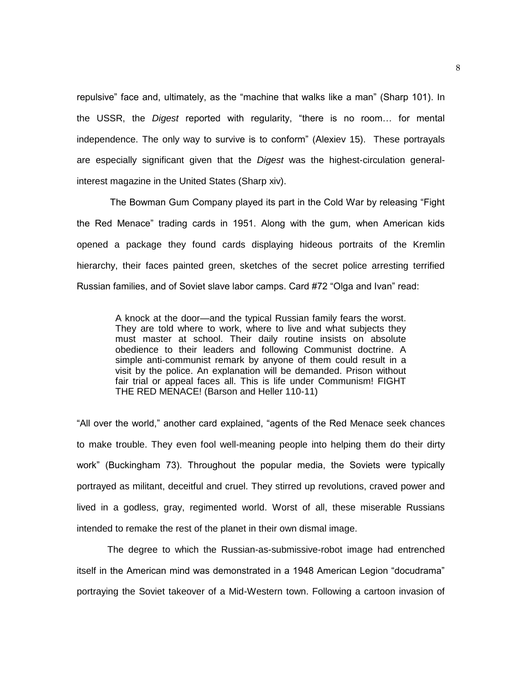repulsive" face and, ultimately, as the "machine that walks like a man" (Sharp 101). In the USSR, the *Digest* reported with regularity, "there is no room… for mental independence. The only way to survive is to conform" (Alexiev 15). These portrayals are especially significant given that the *Digest* was the highest-circulation generalinterest magazine in the United States (Sharp xiv).

The Bowman Gum Company played its part in the Cold War by releasing "Fight the Red Menace" trading cards in 1951. Along with the gum, when American kids opened a package they found cards displaying hideous portraits of the Kremlin hierarchy, their faces painted green, sketches of the secret police arresting terrified Russian families, and of Soviet slave labor camps. Card #72 "Olga and Ivan" read:

> A knock at the door—and the typical Russian family fears the worst. They are told where to work, where to live and what subjects they must master at school. Their daily routine insists on absolute obedience to their leaders and following Communist doctrine. A simple anti-communist remark by anyone of them could result in a visit by the police. An explanation will be demanded. Prison without fair trial or appeal faces all. This is life under Communism! FIGHT THE RED MENACE! (Barson and Heller 110-11)

"All over the world," another card explained, "agents of the Red Menace seek chances to make trouble. They even fool well-meaning people into helping them do their dirty work" (Buckingham 73). Throughout the popular media, the Soviets were typically portrayed as militant, deceitful and cruel. They stirred up revolutions, craved power and lived in a godless, gray, regimented world. Worst of all, these miserable Russians intended to remake the rest of the planet in their own dismal image.

The degree to which the Russian-as-submissive-robot image had entrenched itself in the American mind was demonstrated in a 1948 American Legion "docudrama" portraying the Soviet takeover of a Mid-Western town. Following a cartoon invasion of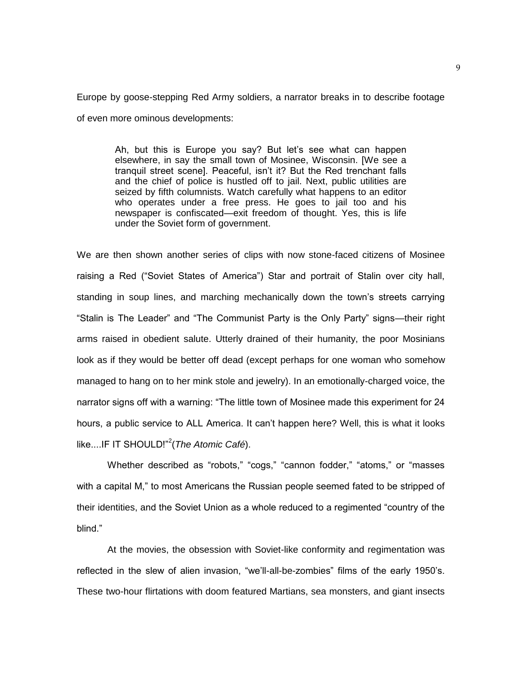Europe by goose-stepping Red Army soldiers, a narrator breaks in to describe footage of even more ominous developments:

> Ah, but this is Europe you say? But let's see what can happen elsewhere, in say the small town of Mosinee, Wisconsin. [We see a tranquil street scene]. Peaceful, isn"t it? But the Red trenchant falls and the chief of police is hustled off to jail. Next, public utilities are seized by fifth columnists. Watch carefully what happens to an editor who operates under a free press. He goes to jail too and his newspaper is confiscated—exit freedom of thought. Yes, this is life under the Soviet form of government.

We are then shown another series of clips with now stone-faced citizens of Mosinee raising a Red ("Soviet States of America") Star and portrait of Stalin over city hall, standing in soup lines, and marching mechanically down the town"s streets carrying "Stalin is The Leader" and "The Communist Party is the Only Party" signs—their right arms raised in obedient salute. Utterly drained of their humanity, the poor Mosinians look as if they would be better off dead (except perhaps for one woman who somehow managed to hang on to her mink stole and jewelry). In an emotionally-charged voice, the narrator signs off with a warning: "The little town of Mosinee made this experiment for 24 hours, a public service to ALL America. It can"t happen here? Well, this is what it looks like....IF IT SHOULD!"<sup>2</sup> (*The Atomic Café*).

Whether described as "robots," "cogs," "cannon fodder," "atoms," or "masses with a capital M," to most Americans the Russian people seemed fated to be stripped of their identities, and the Soviet Union as a whole reduced to a regimented "country of the blind."

At the movies, the obsession with Soviet-like conformity and regimentation was reflected in the slew of alien invasion, "we"ll-all-be-zombies" films of the early 1950"s. These two-hour flirtations with doom featured Martians, sea monsters, and giant insects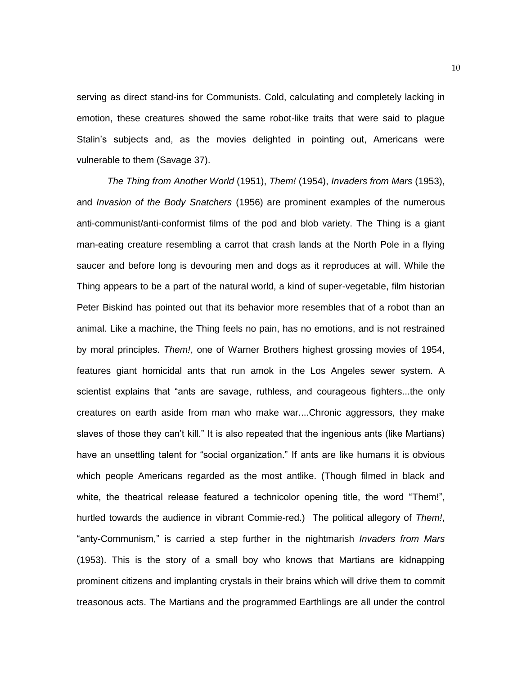serving as direct stand-ins for Communists. Cold, calculating and completely lacking in emotion, these creatures showed the same robot-like traits that were said to plague Stalin"s subjects and, as the movies delighted in pointing out, Americans were vulnerable to them (Savage 37).

*The Thing from Another World* (1951), *Them!* (1954), *Invaders from Mars* (1953), and *Invasion of the Body Snatchers* (1956) are prominent examples of the numerous anti-communist/anti-conformist films of the pod and blob variety. The Thing is a giant man-eating creature resembling a carrot that crash lands at the North Pole in a flying saucer and before long is devouring men and dogs as it reproduces at will. While the Thing appears to be a part of the natural world, a kind of super-vegetable, film historian Peter Biskind has pointed out that its behavior more resembles that of a robot than an animal. Like a machine, the Thing feels no pain, has no emotions, and is not restrained by moral principles. *Them!*, one of Warner Brothers highest grossing movies of 1954, features giant homicidal ants that run amok in the Los Angeles sewer system. A scientist explains that "ants are savage, ruthless, and courageous fighters...the only creatures on earth aside from man who make war....Chronic aggressors, they make slaves of those they can"t kill." It is also repeated that the ingenious ants (like Martians) have an unsettling talent for "social organization." If ants are like humans it is obvious which people Americans regarded as the most antlike. (Though filmed in black and white, the theatrical release featured a technicolor opening title, the word "Them!", hurtled towards the audience in vibrant Commie-red.) The political allegory of *Them!*, "anty-Communism," is carried a step further in the nightmarish *Invaders from Mars* (1953). This is the story of a small boy who knows that Martians are kidnapping prominent citizens and implanting crystals in their brains which will drive them to commit treasonous acts. The Martians and the programmed Earthlings are all under the control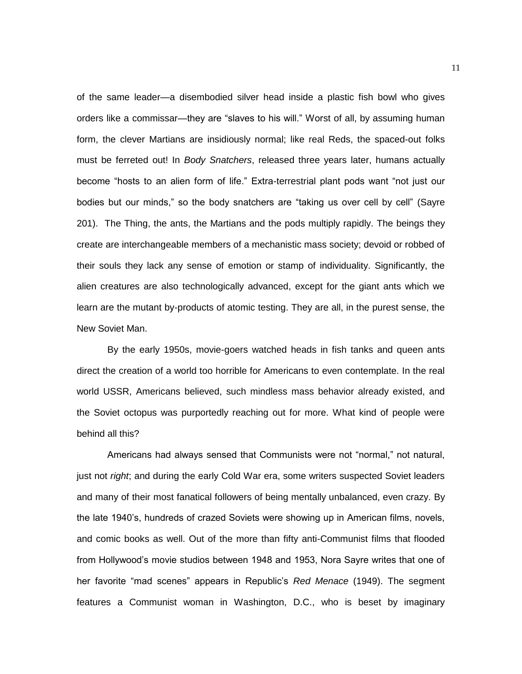of the same leader—a disembodied silver head inside a plastic fish bowl who gives orders like a commissar—they are "slaves to his will." Worst of all, by assuming human form, the clever Martians are insidiously normal; like real Reds, the spaced-out folks must be ferreted out! In *Body Snatchers*, released three years later, humans actually become "hosts to an alien form of life." Extra-terrestrial plant pods want "not just our bodies but our minds," so the body snatchers are "taking us over cell by cell" (Sayre 201). The Thing, the ants, the Martians and the pods multiply rapidly. The beings they create are interchangeable members of a mechanistic mass society; devoid or robbed of their souls they lack any sense of emotion or stamp of individuality. Significantly, the alien creatures are also technologically advanced, except for the giant ants which we learn are the mutant by-products of atomic testing. They are all, in the purest sense, the New Soviet Man.

By the early 1950s, movie-goers watched heads in fish tanks and queen ants direct the creation of a world too horrible for Americans to even contemplate. In the real world USSR, Americans believed, such mindless mass behavior already existed, and the Soviet octopus was purportedly reaching out for more. What kind of people were behind all this?

Americans had always sensed that Communists were not "normal," not natural, just not *right*; and during the early Cold War era, some writers suspected Soviet leaders and many of their most fanatical followers of being mentally unbalanced, even crazy. By the late 1940"s, hundreds of crazed Soviets were showing up in American films, novels, and comic books as well. Out of the more than fifty anti-Communist films that flooded from Hollywood"s movie studios between 1948 and 1953, Nora Sayre writes that one of her favorite "mad scenes" appears in Republic"s *Red Menace* (1949). The segment features a Communist woman in Washington, D.C., who is beset by imaginary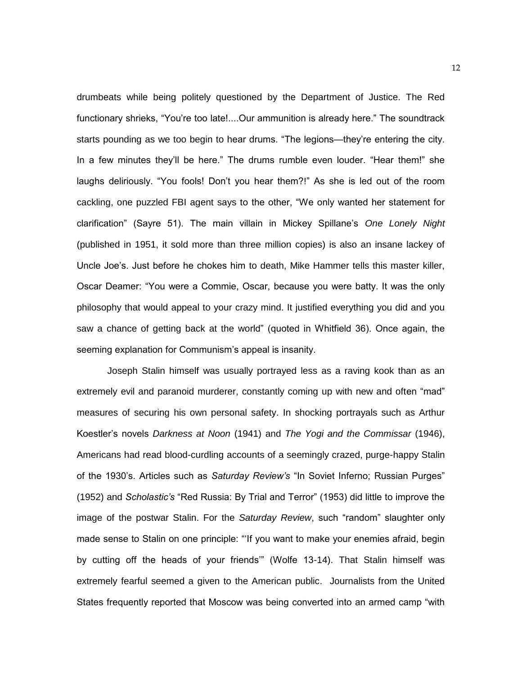drumbeats while being politely questioned by the Department of Justice. The Red functionary shrieks, "You"re too late!....Our ammunition is already here." The soundtrack starts pounding as we too begin to hear drums. "The legions—they"re entering the city. In a few minutes they"ll be here." The drums rumble even louder. "Hear them!" she laughs deliriously. "You fools! Don"t you hear them?!" As she is led out of the room cackling, one puzzled FBI agent says to the other, "We only wanted her statement for clarification" (Sayre 51). The main villain in Mickey Spillane"s *One Lonely Night* (published in 1951, it sold more than three million copies) is also an insane lackey of Uncle Joe"s. Just before he chokes him to death, Mike Hammer tells this master killer, Oscar Deamer: "You were a Commie, Oscar, because you were batty. It was the only philosophy that would appeal to your crazy mind. It justified everything you did and you saw a chance of getting back at the world" (quoted in Whitfield 36). Once again, the seeming explanation for Communism's appeal is insanity.

Joseph Stalin himself was usually portrayed less as a raving kook than as an extremely evil and paranoid murderer, constantly coming up with new and often "mad" measures of securing his own personal safety. In shocking portrayals such as Arthur Koestler"s novels *Darkness at Noon* (1941) and *The Yogi and the Commissar* (1946), Americans had read blood-curdling accounts of a seemingly crazed, purge-happy Stalin of the 1930"s. Articles such as *Saturday Review's* "In Soviet Inferno; Russian Purges" (1952) and *Scholastic's* "Red Russia: By Trial and Terror" (1953) did little to improve the image of the postwar Stalin. For the *Saturday Review*, such "random" slaughter only made sense to Stalin on one principle: ""If you want to make your enemies afraid, begin by cutting off the heads of your friends" (Wolfe 13-14). That Stalin himself was extremely fearful seemed a given to the American public. Journalists from the United States frequently reported that Moscow was being converted into an armed camp "with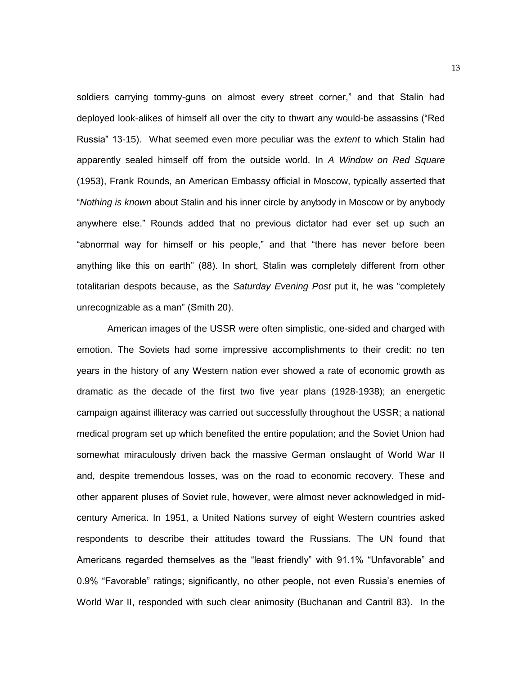soldiers carrying tommy-guns on almost every street corner," and that Stalin had deployed look-alikes of himself all over the city to thwart any would-be assassins ("Red Russia" 13-15). What seemed even more peculiar was the *extent* to which Stalin had apparently sealed himself off from the outside world. In *A Window on Red Square*  (1953), Frank Rounds, an American Embassy official in Moscow, typically asserted that "*Nothing is known* about Stalin and his inner circle by anybody in Moscow or by anybody anywhere else." Rounds added that no previous dictator had ever set up such an "abnormal way for himself or his people," and that "there has never before been anything like this on earth" (88). In short, Stalin was completely different from other totalitarian despots because, as the *Saturday Evening Post* put it, he was "completely unrecognizable as a man" (Smith 20).

American images of the USSR were often simplistic, one-sided and charged with emotion. The Soviets had some impressive accomplishments to their credit: no ten years in the history of any Western nation ever showed a rate of economic growth as dramatic as the decade of the first two five year plans (1928-1938); an energetic campaign against illiteracy was carried out successfully throughout the USSR; a national medical program set up which benefited the entire population; and the Soviet Union had somewhat miraculously driven back the massive German onslaught of World War II and, despite tremendous losses, was on the road to economic recovery. These and other apparent pluses of Soviet rule, however, were almost never acknowledged in midcentury America. In 1951, a United Nations survey of eight Western countries asked respondents to describe their attitudes toward the Russians. The UN found that Americans regarded themselves as the "least friendly" with 91.1% "Unfavorable" and 0.9% "Favorable" ratings; significantly, no other people, not even Russia"s enemies of World War II, responded with such clear animosity (Buchanan and Cantril 83). In the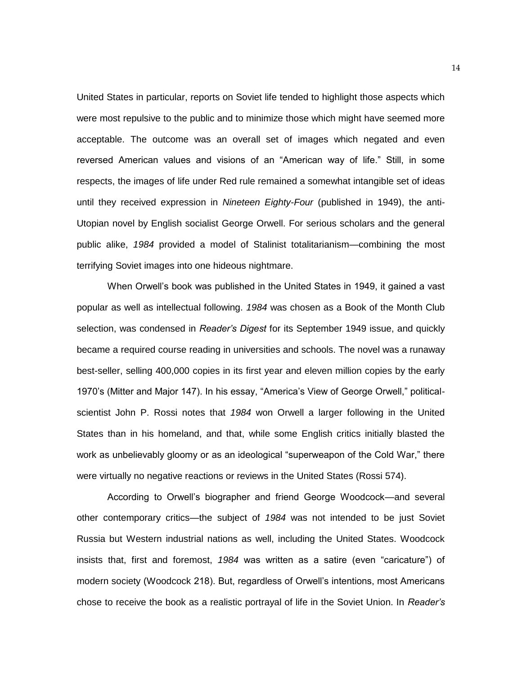United States in particular, reports on Soviet life tended to highlight those aspects which were most repulsive to the public and to minimize those which might have seemed more acceptable. The outcome was an overall set of images which negated and even reversed American values and visions of an "American way of life." Still, in some respects, the images of life under Red rule remained a somewhat intangible set of ideas until they received expression in *Nineteen Eighty-Four* (published in 1949), the anti-Utopian novel by English socialist George Orwell. For serious scholars and the general public alike, *1984* provided a model of Stalinist totalitarianism—combining the most terrifying Soviet images into one hideous nightmare.

When Orwell"s book was published in the United States in 1949, it gained a vast popular as well as intellectual following. *1984* was chosen as a Book of the Month Club selection, was condensed in *Reader's Digest* for its September 1949 issue, and quickly became a required course reading in universities and schools. The novel was a runaway best-seller, selling 400,000 copies in its first year and eleven million copies by the early 1970"s (Mitter and Major 147). In his essay, "America"s View of George Orwell," politicalscientist John P. Rossi notes that *1984* won Orwell a larger following in the United States than in his homeland, and that, while some English critics initially blasted the work as unbelievably gloomy or as an ideological "superweapon of the Cold War," there were virtually no negative reactions or reviews in the United States (Rossi 574).

According to Orwell"s biographer and friend George Woodcock—and several other contemporary critics—the subject of *1984* was not intended to be just Soviet Russia but Western industrial nations as well, including the United States. Woodcock insists that, first and foremost, *1984* was written as a satire (even "caricature") of modern society (Woodcock 218). But, regardless of Orwell"s intentions, most Americans chose to receive the book as a realistic portrayal of life in the Soviet Union. In *Reader's*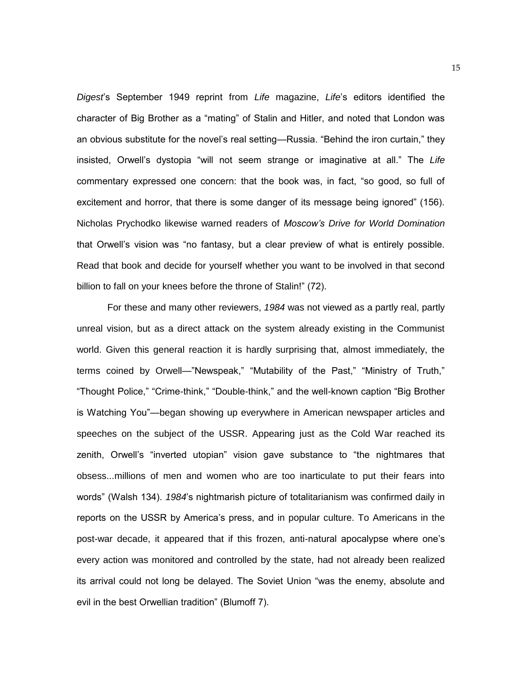*Digest*"s September 1949 reprint from *Life* magazine, *Life*"s editors identified the character of Big Brother as a "mating" of Stalin and Hitler, and noted that London was an obvious substitute for the novel"s real setting—Russia. "Behind the iron curtain," they insisted, Orwell"s dystopia "will not seem strange or imaginative at all." The *Life*  commentary expressed one concern: that the book was, in fact, "so good, so full of excitement and horror, that there is some danger of its message being ignored" (156). Nicholas Prychodko likewise warned readers of *Moscow's Drive for World Domination* that Orwell"s vision was "no fantasy, but a clear preview of what is entirely possible. Read that book and decide for yourself whether you want to be involved in that second billion to fall on your knees before the throne of Stalin!" (72).

For these and many other reviewers, *1984* was not viewed as a partly real, partly unreal vision, but as a direct attack on the system already existing in the Communist world. Given this general reaction it is hardly surprising that, almost immediately, the terms coined by Orwell—"Newspeak," "Mutability of the Past," "Ministry of Truth," "Thought Police," "Crime-think," "Double-think," and the well-known caption "Big Brother is Watching You"—began showing up everywhere in American newspaper articles and speeches on the subject of the USSR. Appearing just as the Cold War reached its zenith, Orwell"s "inverted utopian" vision gave substance to "the nightmares that obsess...millions of men and women who are too inarticulate to put their fears into words" (Walsh 134). *1984*"s nightmarish picture of totalitarianism was confirmed daily in reports on the USSR by America"s press, and in popular culture. To Americans in the post-war decade, it appeared that if this frozen, anti-natural apocalypse where one"s every action was monitored and controlled by the state, had not already been realized its arrival could not long be delayed. The Soviet Union "was the enemy, absolute and evil in the best Orwellian tradition" (Blumoff 7).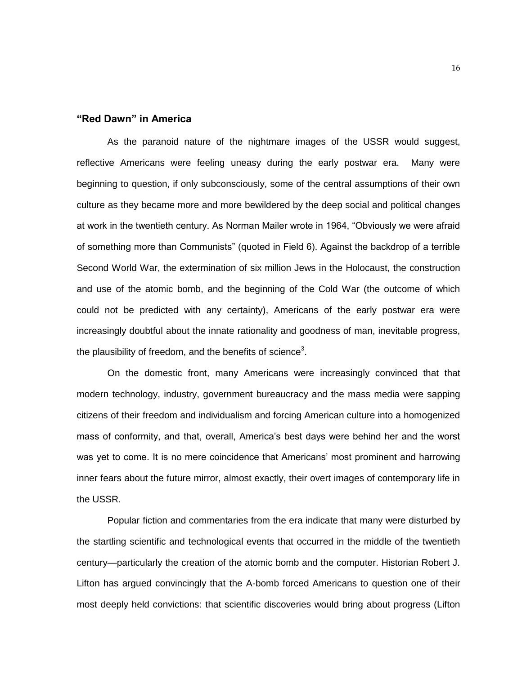#### **"Red Dawn" in America**

As the paranoid nature of the nightmare images of the USSR would suggest, reflective Americans were feeling uneasy during the early postwar era. Many were beginning to question, if only subconsciously, some of the central assumptions of their own culture as they became more and more bewildered by the deep social and political changes at work in the twentieth century. As Norman Mailer wrote in 1964, "Obviously we were afraid of something more than Communists" (quoted in Field 6). Against the backdrop of a terrible Second World War, the extermination of six million Jews in the Holocaust, the construction and use of the atomic bomb, and the beginning of the Cold War (the outcome of which could not be predicted with any certainty), Americans of the early postwar era were increasingly doubtful about the innate rationality and goodness of man, inevitable progress, the plausibility of freedom, and the benefits of science<sup>3</sup>.

On the domestic front, many Americans were increasingly convinced that that modern technology, industry, government bureaucracy and the mass media were sapping citizens of their freedom and individualism and forcing American culture into a homogenized mass of conformity, and that, overall, America"s best days were behind her and the worst was yet to come. It is no mere coincidence that Americans' most prominent and harrowing inner fears about the future mirror, almost exactly, their overt images of contemporary life in the USSR.

Popular fiction and commentaries from the era indicate that many were disturbed by the startling scientific and technological events that occurred in the middle of the twentieth century—particularly the creation of the atomic bomb and the computer. Historian Robert J. Lifton has argued convincingly that the A-bomb forced Americans to question one of their most deeply held convictions: that scientific discoveries would bring about progress (Lifton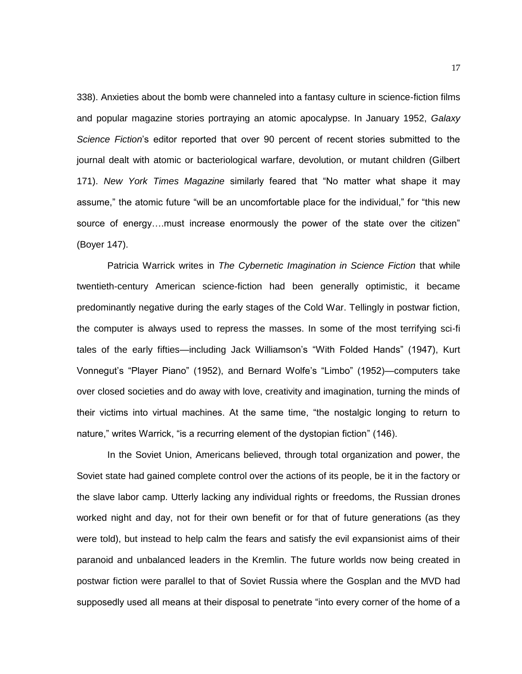338). Anxieties about the bomb were channeled into a fantasy culture in science-fiction films and popular magazine stories portraying an atomic apocalypse. In January 1952, *Galaxy Science Fiction*"s editor reported that over 90 percent of recent stories submitted to the journal dealt with atomic or bacteriological warfare, devolution, or mutant children (Gilbert 171). *New York Times Magazine* similarly feared that "No matter what shape it may assume," the atomic future "will be an uncomfortable place for the individual," for "this new source of energy….must increase enormously the power of the state over the citizen" (Boyer 147).

Patricia Warrick writes in *The Cybernetic Imagination in Science Fiction* that while twentieth-century American science-fiction had been generally optimistic, it became predominantly negative during the early stages of the Cold War. Tellingly in postwar fiction, the computer is always used to repress the masses. In some of the most terrifying sci-fi tales of the early fifties—including Jack Williamson's "With Folded Hands" (1947), Kurt Vonnegut"s "Player Piano" (1952), and Bernard Wolfe"s "Limbo" (1952)—computers take over closed societies and do away with love, creativity and imagination, turning the minds of their victims into virtual machines. At the same time, "the nostalgic longing to return to nature," writes Warrick, "is a recurring element of the dystopian fiction" (146).

In the Soviet Union, Americans believed, through total organization and power, the Soviet state had gained complete control over the actions of its people, be it in the factory or the slave labor camp. Utterly lacking any individual rights or freedoms, the Russian drones worked night and day, not for their own benefit or for that of future generations (as they were told), but instead to help calm the fears and satisfy the evil expansionist aims of their paranoid and unbalanced leaders in the Kremlin. The future worlds now being created in postwar fiction were parallel to that of Soviet Russia where the Gosplan and the MVD had supposedly used all means at their disposal to penetrate "into every corner of the home of a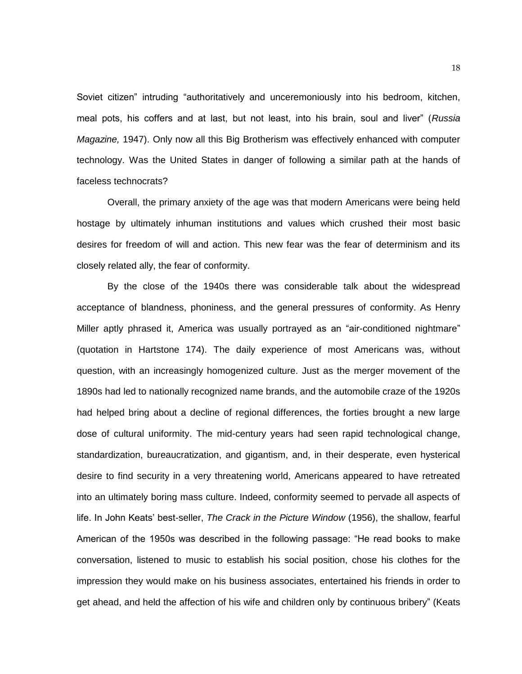Soviet citizen" intruding "authoritatively and unceremoniously into his bedroom, kitchen, meal pots, his coffers and at last, but not least, into his brain, soul and liver" (*Russia Magazine,* 1947). Only now all this Big Brotherism was effectively enhanced with computer technology. Was the United States in danger of following a similar path at the hands of faceless technocrats?

Overall, the primary anxiety of the age was that modern Americans were being held hostage by ultimately inhuman institutions and values which crushed their most basic desires for freedom of will and action. This new fear was the fear of determinism and its closely related ally, the fear of conformity.

By the close of the 1940s there was considerable talk about the widespread acceptance of blandness, phoniness, and the general pressures of conformity. As Henry Miller aptly phrased it, America was usually portrayed as an "air-conditioned nightmare" (quotation in Hartstone 174). The daily experience of most Americans was, without question, with an increasingly homogenized culture. Just as the merger movement of the 1890s had led to nationally recognized name brands, and the automobile craze of the 1920s had helped bring about a decline of regional differences, the forties brought a new large dose of cultural uniformity. The mid-century years had seen rapid technological change, standardization, bureaucratization, and gigantism, and, in their desperate, even hysterical desire to find security in a very threatening world, Americans appeared to have retreated into an ultimately boring mass culture. Indeed, conformity seemed to pervade all aspects of life. In John Keats" best-seller, *The Crack in the Picture Window* (1956), the shallow, fearful American of the 1950s was described in the following passage: "He read books to make conversation, listened to music to establish his social position, chose his clothes for the impression they would make on his business associates, entertained his friends in order to get ahead, and held the affection of his wife and children only by continuous bribery" (Keats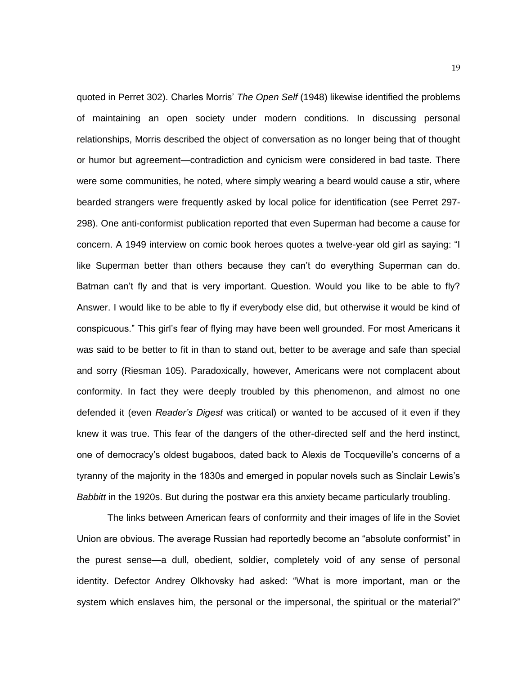quoted in Perret 302). Charles Morris" *The Open Self* (1948) likewise identified the problems of maintaining an open society under modern conditions. In discussing personal relationships, Morris described the object of conversation as no longer being that of thought or humor but agreement—contradiction and cynicism were considered in bad taste. There were some communities, he noted, where simply wearing a beard would cause a stir, where bearded strangers were frequently asked by local police for identification (see Perret 297- 298). One anti-conformist publication reported that even Superman had become a cause for concern. A 1949 interview on comic book heroes quotes a twelve-year old girl as saying: "I like Superman better than others because they can"t do everything Superman can do. Batman can't fly and that is very important. Question. Would you like to be able to fly? Answer. I would like to be able to fly if everybody else did, but otherwise it would be kind of conspicuous." This girl"s fear of flying may have been well grounded. For most Americans it was said to be better to fit in than to stand out, better to be average and safe than special and sorry (Riesman 105). Paradoxically, however, Americans were not complacent about conformity. In fact they were deeply troubled by this phenomenon, and almost no one defended it (even *Reader's Digest* was critical) or wanted to be accused of it even if they knew it was true. This fear of the dangers of the other-directed self and the herd instinct, one of democracy"s oldest bugaboos, dated back to Alexis de Tocqueville"s concerns of a tyranny of the majority in the 1830s and emerged in popular novels such as Sinclair Lewis"s *Babbitt* in the 1920s. But during the postwar era this anxiety became particularly troubling.

The links between American fears of conformity and their images of life in the Soviet Union are obvious. The average Russian had reportedly become an "absolute conformist" in the purest sense—a dull, obedient, soldier, completely void of any sense of personal identity. Defector Andrey Olkhovsky had asked: "What is more important, man or the system which enslaves him, the personal or the impersonal, the spiritual or the material?"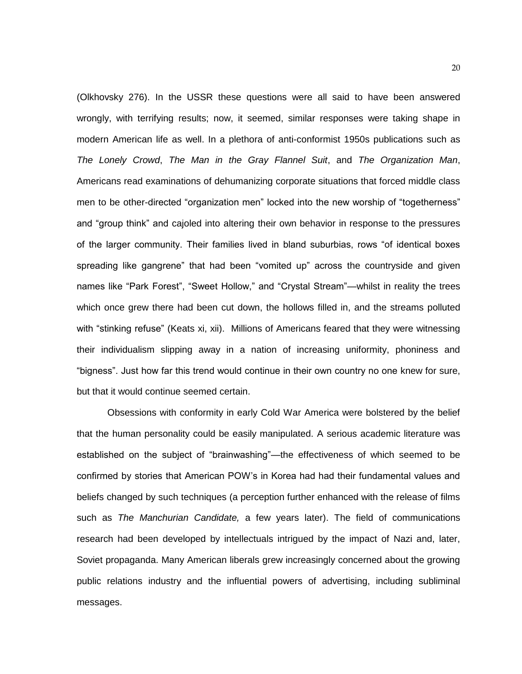(Olkhovsky 276). In the USSR these questions were all said to have been answered wrongly, with terrifying results; now, it seemed, similar responses were taking shape in modern American life as well. In a plethora of anti-conformist 1950s publications such as *The Lonely Crowd*, *The Man in the Gray Flannel Suit*, and *The Organization Man*, Americans read examinations of dehumanizing corporate situations that forced middle class men to be other-directed "organization men" locked into the new worship of "togetherness" and "group think" and cajoled into altering their own behavior in response to the pressures of the larger community. Their families lived in bland suburbias, rows "of identical boxes spreading like gangrene" that had been "vomited up" across the countryside and given names like "Park Forest", "Sweet Hollow," and "Crystal Stream"—whilst in reality the trees which once grew there had been cut down, the hollows filled in, and the streams polluted with "stinking refuse" (Keats xi, xii). Millions of Americans feared that they were witnessing their individualism slipping away in a nation of increasing uniformity, phoniness and "bigness". Just how far this trend would continue in their own country no one knew for sure, but that it would continue seemed certain.

Obsessions with conformity in early Cold War America were bolstered by the belief that the human personality could be easily manipulated. A serious academic literature was established on the subject of "brainwashing"—the effectiveness of which seemed to be confirmed by stories that American POW"s in Korea had had their fundamental values and beliefs changed by such techniques (a perception further enhanced with the release of films such as *The Manchurian Candidate,* a few years later). The field of communications research had been developed by intellectuals intrigued by the impact of Nazi and, later, Soviet propaganda. Many American liberals grew increasingly concerned about the growing public relations industry and the influential powers of advertising, including subliminal messages.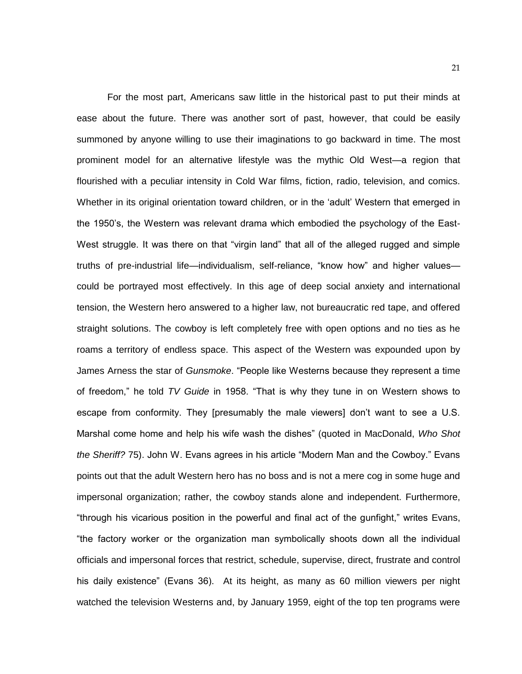For the most part, Americans saw little in the historical past to put their minds at ease about the future. There was another sort of past, however, that could be easily summoned by anyone willing to use their imaginations to go backward in time. The most prominent model for an alternative lifestyle was the mythic Old West—a region that flourished with a peculiar intensity in Cold War films, fiction, radio, television, and comics. Whether in its original orientation toward children, or in the "adult" Western that emerged in the 1950"s, the Western was relevant drama which embodied the psychology of the East-West struggle. It was there on that "virgin land" that all of the alleged rugged and simple truths of pre-industrial life—individualism, self-reliance, "know how" and higher values could be portrayed most effectively. In this age of deep social anxiety and international tension, the Western hero answered to a higher law, not bureaucratic red tape, and offered straight solutions. The cowboy is left completely free with open options and no ties as he roams a territory of endless space. This aspect of the Western was expounded upon by James Arness the star of *Gunsmoke*. "People like Westerns because they represent a time of freedom," he told *TV Guide* in 1958. "That is why they tune in on Western shows to escape from conformity. They [presumably the male viewers] don"t want to see a U.S. Marshal come home and help his wife wash the dishes" (quoted in MacDonald, *Who Shot the Sheriff?* 75). John W. Evans agrees in his article "Modern Man and the Cowboy." Evans points out that the adult Western hero has no boss and is not a mere cog in some huge and impersonal organization; rather, the cowboy stands alone and independent. Furthermore, "through his vicarious position in the powerful and final act of the gunfight," writes Evans, "the factory worker or the organization man symbolically shoots down all the individual officials and impersonal forces that restrict, schedule, supervise, direct, frustrate and control his daily existence" (Evans 36). At its height, as many as 60 million viewers per night watched the television Westerns and, by January 1959, eight of the top ten programs were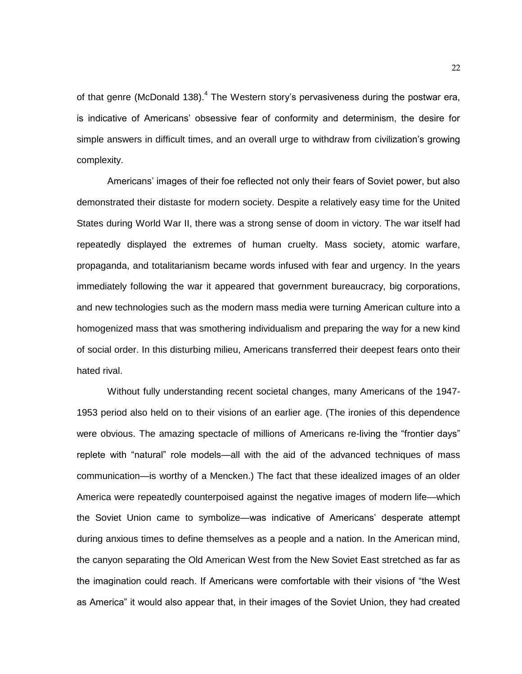of that genre (McDonald 138). $<sup>4</sup>$  The Western story's pervasiveness during the postwar era,</sup> is indicative of Americans" obsessive fear of conformity and determinism, the desire for simple answers in difficult times, and an overall urge to withdraw from civilization"s growing complexity.

Americans" images of their foe reflected not only their fears of Soviet power, but also demonstrated their distaste for modern society. Despite a relatively easy time for the United States during World War II, there was a strong sense of doom in victory. The war itself had repeatedly displayed the extremes of human cruelty. Mass society, atomic warfare, propaganda, and totalitarianism became words infused with fear and urgency. In the years immediately following the war it appeared that government bureaucracy, big corporations, and new technologies such as the modern mass media were turning American culture into a homogenized mass that was smothering individualism and preparing the way for a new kind of social order. In this disturbing milieu, Americans transferred their deepest fears onto their hated rival.

Without fully understanding recent societal changes, many Americans of the 1947- 1953 period also held on to their visions of an earlier age. (The ironies of this dependence were obvious. The amazing spectacle of millions of Americans re-living the "frontier days" replete with "natural" role models—all with the aid of the advanced techniques of mass communication—is worthy of a Mencken.) The fact that these idealized images of an older America were repeatedly counterpoised against the negative images of modern life—which the Soviet Union came to symbolize—was indicative of Americans' desperate attempt during anxious times to define themselves as a people and a nation. In the American mind, the canyon separating the Old American West from the New Soviet East stretched as far as the imagination could reach. If Americans were comfortable with their visions of "the West as America" it would also appear that, in their images of the Soviet Union, they had created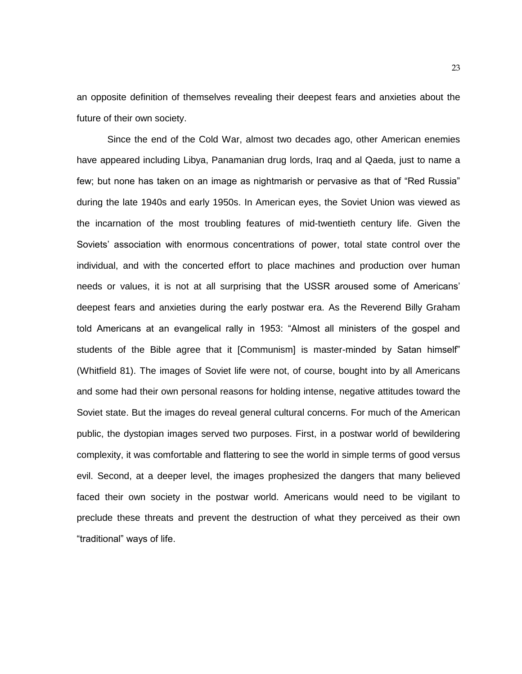an opposite definition of themselves revealing their deepest fears and anxieties about the future of their own society.

Since the end of the Cold War, almost two decades ago, other American enemies have appeared including Libya, Panamanian drug lords, Iraq and al Qaeda, just to name a few; but none has taken on an image as nightmarish or pervasive as that of "Red Russia" during the late 1940s and early 1950s. In American eyes, the Soviet Union was viewed as the incarnation of the most troubling features of mid-twentieth century life. Given the Soviets" association with enormous concentrations of power, total state control over the individual, and with the concerted effort to place machines and production over human needs or values, it is not at all surprising that the USSR aroused some of Americans" deepest fears and anxieties during the early postwar era. As the Reverend Billy Graham told Americans at an evangelical rally in 1953: "Almost all ministers of the gospel and students of the Bible agree that it [Communism] is master-minded by Satan himself" (Whitfield 81). The images of Soviet life were not, of course, bought into by all Americans and some had their own personal reasons for holding intense, negative attitudes toward the Soviet state. But the images do reveal general cultural concerns. For much of the American public, the dystopian images served two purposes. First, in a postwar world of bewildering complexity, it was comfortable and flattering to see the world in simple terms of good versus evil. Second, at a deeper level, the images prophesized the dangers that many believed faced their own society in the postwar world. Americans would need to be vigilant to preclude these threats and prevent the destruction of what they perceived as their own "traditional" ways of life.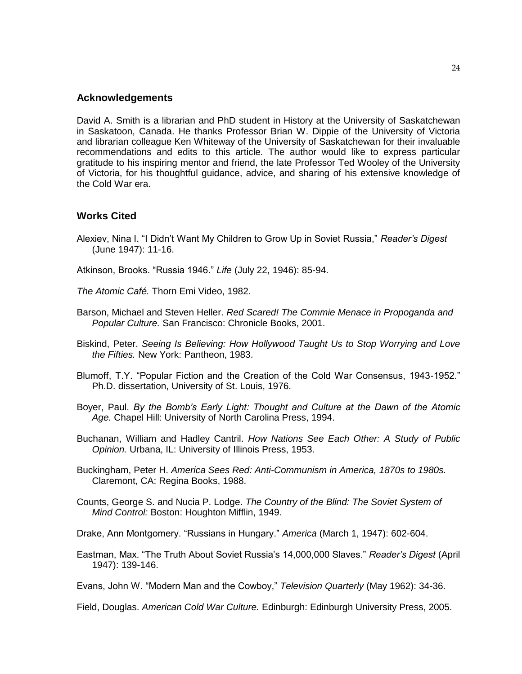#### **Acknowledgements**

David A. Smith is a librarian and PhD student in History at the University of Saskatchewan in Saskatoon, Canada. He thanks Professor Brian W. Dippie of the University of Victoria and librarian colleague Ken Whiteway of the University of Saskatchewan for their invaluable recommendations and edits to this article. The author would like to express particular gratitude to his inspiring mentor and friend, the late Professor Ted Wooley of the University of Victoria, for his thoughtful guidance, advice, and sharing of his extensive knowledge of the Cold War era.

### **Works Cited**

- Alexiev, Nina I. "I Didn"t Want My Children to Grow Up in Soviet Russia," *Reader's Digest*  (June 1947): 11-16.
- Atkinson, Brooks. "Russia 1946." *Life* (July 22, 1946): 85-94.
- *The Atomic Café.* Thorn Emi Video, 1982.
- Barson, Michael and Steven Heller. *Red Scared! The Commie Menace in Propoganda and Popular Culture.* San Francisco: Chronicle Books, 2001.
- Biskind, Peter. *Seeing Is Believing: How Hollywood Taught Us to Stop Worrying and Love the Fifties.* New York: Pantheon, 1983.
- Blumoff, T.Y. "Popular Fiction and the Creation of the Cold War Consensus, 1943-1952." Ph.D. dissertation, University of St. Louis, 1976.
- Boyer, Paul. *By the Bomb's Early Light: Thought and Culture at the Dawn of the Atomic Age.* Chapel Hill: University of North Carolina Press, 1994.
- Buchanan, William and Hadley Cantril. *How Nations See Each Other: A Study of Public Opinion.* Urbana, IL: University of Illinois Press, 1953.
- Buckingham, Peter H. *America Sees Red: Anti-Communism in America, 1870s to 1980s.*  Claremont, CA: Regina Books, 1988.
- Counts, George S. and Nucia P. Lodge. *The Country of the Blind: The Soviet System of Mind Control:* Boston: Houghton Mifflin, 1949.
- Drake, Ann Montgomery. "Russians in Hungary." *America* (March 1, 1947): 602-604.
- Eastman, Max. "The Truth About Soviet Russia"s 14,000,000 Slaves." *Reader's Digest* (April 1947): 139-146.
- Evans, John W. "Modern Man and the Cowboy," *Television Quarterly* (May 1962): 34-36.

Field, Douglas. *American Cold War Culture.* Edinburgh: Edinburgh University Press, 2005.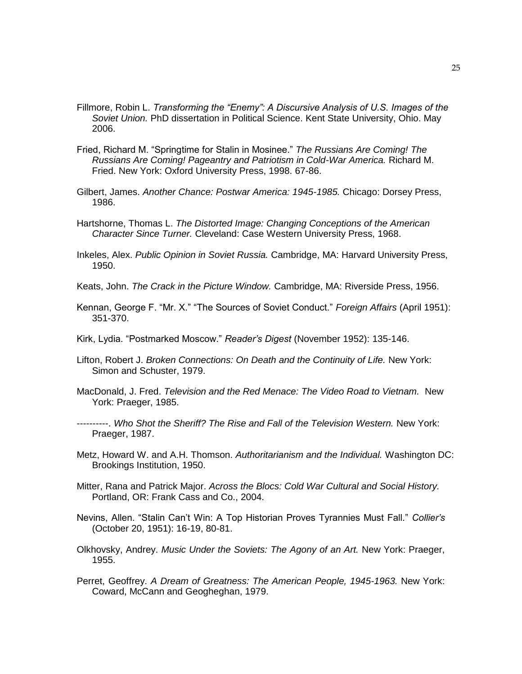- Fillmore, Robin L. *Transforming the "Enemy": A Discursive Analysis of U.S. Images of the Soviet Union.* PhD dissertation in Political Science. Kent State University, Ohio. May 2006.
- Fried, Richard M. "Springtime for Stalin in Mosinee." *The Russians Are Coming! The Russians Are Coming! Pageantry and Patriotism in Cold-War America.* Richard M. Fried. New York: Oxford University Press, 1998. 67-86.
- Gilbert, James. *Another Chance: Postwar America: 1945-1985.* Chicago: Dorsey Press, 1986.
- Hartshorne, Thomas L. *The Distorted Image: Changing Conceptions of the American Character Since Turner.* Cleveland: Case Western University Press, 1968.
- Inkeles, Alex. *Public Opinion in Soviet Russia.* Cambridge, MA: Harvard University Press, 1950.
- Keats, John. *The Crack in the Picture Window.* Cambridge, MA: Riverside Press, 1956.
- Kennan, George F. "Mr. X." "The Sources of Soviet Conduct." *Foreign Affairs* (April 1951): 351-370.
- Kirk, Lydia. "Postmarked Moscow." *Reader's Digest* (November 1952): 135-146.
- Lifton, Robert J. *Broken Connections: On Death and the Continuity of Life.* New York: Simon and Schuster, 1979.
- MacDonald, J. Fred. *Television and the Red Menace: The Video Road to Vietnam.* New York: Praeger, 1985.
- ----------. *Who Shot the Sheriff? The Rise and Fall of the Television Western.* New York: Praeger, 1987.
- Metz, Howard W. and A.H. Thomson. *Authoritarianism and the Individual.* Washington DC: Brookings Institution, 1950.
- Mitter, Rana and Patrick Major. *Across the Blocs: Cold War Cultural and Social History.*  Portland, OR: Frank Cass and Co., 2004.
- Nevins, Allen. "Stalin Can"t Win: A Top Historian Proves Tyrannies Must Fall." *Collier's*  (October 20, 1951): 16-19, 80-81.
- Olkhovsky, Andrey. *Music Under the Soviets: The Agony of an Art.* New York: Praeger, 1955.
- Perret, Geoffrey. *A Dream of Greatness: The American People, 1945-1963.* New York: Coward, McCann and Geogheghan, 1979.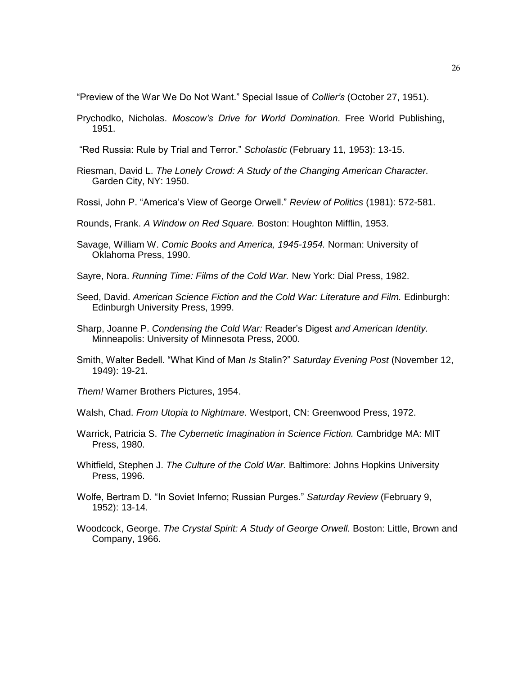"Preview of the War We Do Not Want." Special Issue of *Collier's* (October 27, 1951).

Prychodko, Nicholas. *Moscow's Drive for World Domination*. Free World Publishing, 1951.

"Red Russia: Rule by Trial and Terror." *Scholastic* (February 11, 1953): 13-15.

- Riesman, David L. *The Lonely Crowd: A Study of the Changing American Character.* Garden City, NY: 1950.
- Rossi, John P. "America"s View of George Orwell." *Review of Politics* (1981): 572-581.
- Rounds, Frank. *A Window on Red Square.* Boston: Houghton Mifflin, 1953.
- Savage, William W. *Comic Books and America, 1945-1954.* Norman: University of Oklahoma Press, 1990.
- Sayre, Nora. *Running Time: Films of the Cold War.* New York: Dial Press, 1982.
- Seed, David. *American Science Fiction and the Cold War: Literature and Film.* Edinburgh: Edinburgh University Press, 1999.
- Sharp, Joanne P. *Condensing the Cold War:* Reader"s Digest *and American Identity.*  Minneapolis: University of Minnesota Press, 2000.
- Smith, Walter Bedell. "What Kind of Man *Is* Stalin?" *Saturday Evening Post* (November 12, 1949): 19-21.

*Them!* Warner Brothers Pictures, 1954.

- Walsh, Chad. *From Utopia to Nightmare.* Westport, CN: Greenwood Press, 1972.
- Warrick, Patricia S. *The Cybernetic Imagination in Science Fiction.* Cambridge MA: MIT Press, 1980.
- Whitfield, Stephen J. *The Culture of the Cold War.* Baltimore: Johns Hopkins University Press, 1996.
- Wolfe, Bertram D. "In Soviet Inferno; Russian Purges." *Saturday Review* (February 9, 1952): 13-14.
- Woodcock, George. The Crystal Spirit: A Study of George Orwell. Boston: Little, Brown and Company, 1966.